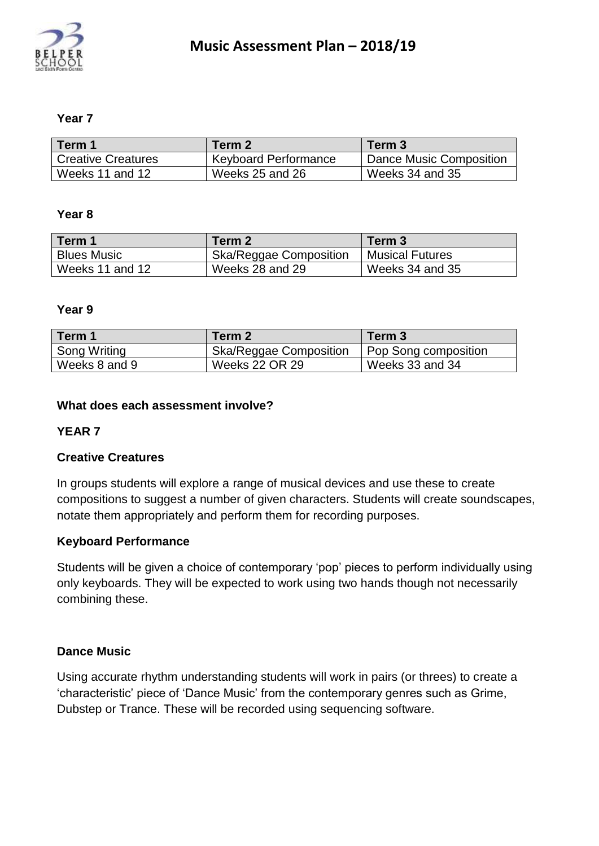

# **Year 7**

| Term 1                    | Term 2                      | Term 3                  |
|---------------------------|-----------------------------|-------------------------|
| <b>Creative Creatures</b> | <b>Keyboard Performance</b> | Dance Music Composition |
| Weeks 11 and 12           | Weeks 25 and 26             | Weeks 34 and 35         |

#### **Year 8**

| Term 1             | Term 2                        | Term 3                 |
|--------------------|-------------------------------|------------------------|
| <b>Blues Music</b> | <b>Ska/Reggae Composition</b> | <b>Musical Futures</b> |
| Weeks 11 and 12    | Weeks 28 and 29               | Weeks 34 and 35        |

#### **Year 9**

| Term 1        | Term 2                        | Term 3               |
|---------------|-------------------------------|----------------------|
| Song Writing  | <b>Ska/Reggae Composition</b> | Pop Song composition |
| Weeks 8 and 9 | Weeks 22 OR 29                | Weeks 33 and 34      |

### **What does each assessment involve?**

## **YEAR 7**

### **Creative Creatures**

In groups students will explore a range of musical devices and use these to create compositions to suggest a number of given characters. Students will create soundscapes, notate them appropriately and perform them for recording purposes.

### **Keyboard Performance**

Students will be given a choice of contemporary 'pop' pieces to perform individually using only keyboards. They will be expected to work using two hands though not necessarily combining these.

### **Dance Music**

Using accurate rhythm understanding students will work in pairs (or threes) to create a 'characteristic' piece of 'Dance Music' from the contemporary genres such as Grime, Dubstep or Trance. These will be recorded using sequencing software.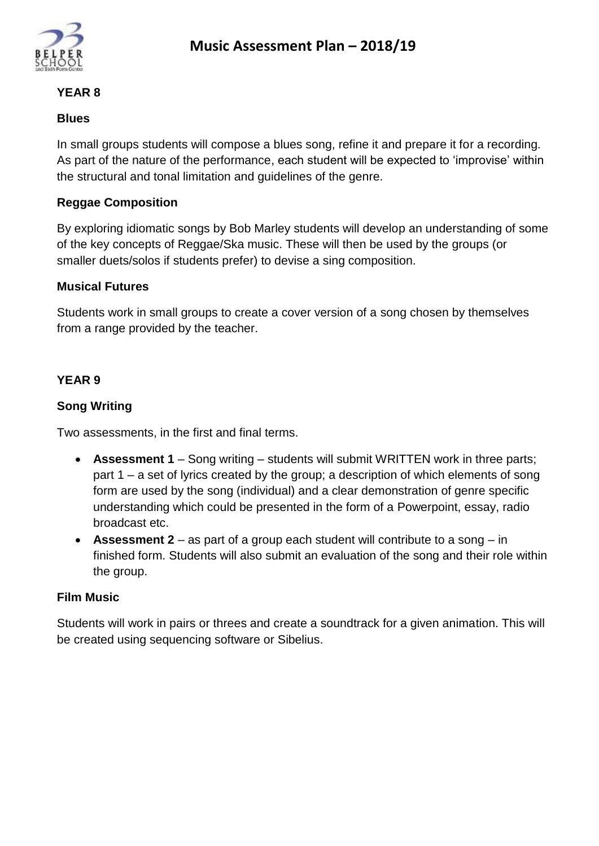

### **YEAR 8**

### **Blues**

In small groups students will compose a blues song, refine it and prepare it for a recording. As part of the nature of the performance, each student will be expected to 'improvise' within the structural and tonal limitation and guidelines of the genre.

# **Reggae Composition**

By exploring idiomatic songs by Bob Marley students will develop an understanding of some of the key concepts of Reggae/Ska music. These will then be used by the groups (or smaller duets/solos if students prefer) to devise a sing composition.

## **Musical Futures**

Students work in small groups to create a cover version of a song chosen by themselves from a range provided by the teacher.

# **YEAR 9**

## **Song Writing**

Two assessments, in the first and final terms.

- **Assessment 1** Song writing students will submit WRITTEN work in three parts; part 1 – a set of lyrics created by the group; a description of which elements of song form are used by the song (individual) and a clear demonstration of genre specific understanding which could be presented in the form of a Powerpoint, essay, radio broadcast etc.
- **Assessment 2** as part of a group each student will contribute to a song in finished form. Students will also submit an evaluation of the song and their role within the group.

## **Film Music**

Students will work in pairs or threes and create a soundtrack for a given animation. This will be created using sequencing software or Sibelius.